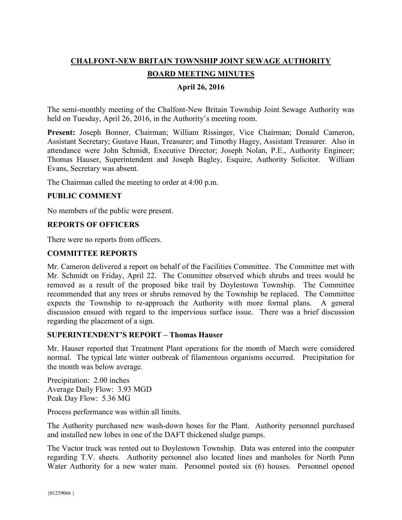# **CHALFONT-NEW BRITAIN TOWNSHIP JOINT SEWAGE AUTHORITY**

# **BOARD MEETING MINUTES**

# **April 26, 2016**

The semi-monthly meeting of the Chalfont-New Britain Township Joint Sewage Authority was held on Tuesday, April 26, 2016, in the Authority's meeting room.

**Present:** Joseph Bonner, Chairman; William Rissinger, Vice Chairman; Donald Cameron, Assistant Secretary; Gustave Haun, Treasurer; and Timothy Hagey, Assistant Treasurer. Also in attendance were John Schmidt, Executive Director; Joseph Nolan, P.E., Authority Engineer; Thomas Hauser, Superintendent and Joseph Bagley, Esquire, Authority Solicitor. William Evans, Secretary was absent.

The Chairman called the meeting to order at 4:00 p.m.

#### **PUBLIC COMMENT**

No members of the public were present.

#### **REPORTS OF OFFICERS**

There were no reports from officers.

### **COMMITTEE REPORTS**

Mr. Cameron delivered a report on behalf of the Facilities Committee. The Committee met with Mr. Schmidt on Friday, April 22. The Committee observed which shrubs and trees would be removed as a result of the proposed bike trail by Doylestown Township. The Committee recommended that any trees or shrubs removed by the Township be replaced. The Committee expects the Township to re-approach the Authority with more formal plans. A general discussion ensued with regard to the impervious surface issue. There was a brief discussion regarding the placement of a sign.

#### **SUPERINTENDENT'S REPORT – Thomas Hauser**

Mr. Hauser reported that Treatment Plant operations for the month of March were considered normal. The typical late winter outbreak of filamentous organisms occurred. Precipitation for the month was below average.

Precipitation: 2.00 inches Average Daily Flow: 3.93 MGD Peak Day Flow: 5.36 MG

Process performance was within all limits.

The Authority purchased new wash-down hoses for the Plant. Authority personnel purchased and installed new lobes in one of the DAFT thickened sludge pumps.

The Vactor truck was rented out to Doylestown Township. Data was entered into the computer regarding T.V. sheets. Authority personnel also located lines and manholes for North Penn Water Authority for a new water main. Personnel posted six (6) houses. Personnel opened